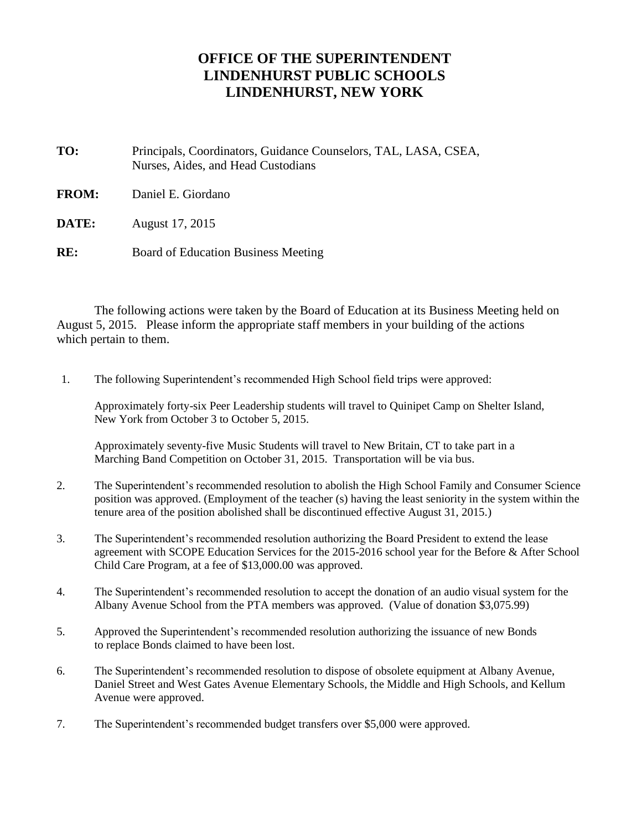## **OFFICE OF THE SUPERINTENDENT LINDENHURST PUBLIC SCHOOLS LINDENHURST, NEW YORK**

**TO:** Principals, Coordinators, Guidance Counselors, TAL, LASA, CSEA, Nurses, Aides, and Head Custodians

**FROM:** Daniel E. Giordano

**DATE:** August 17, 2015

**RE:** Board of Education Business Meeting

The following actions were taken by the Board of Education at its Business Meeting held on August 5, 2015. Please inform the appropriate staff members in your building of the actions which pertain to them.

1. The following Superintendent's recommended High School field trips were approved:

Approximately forty-six Peer Leadership students will travel to Quinipet Camp on Shelter Island, New York from October 3 to October 5, 2015.

Approximately seventy-five Music Students will travel to New Britain, CT to take part in a Marching Band Competition on October 31, 2015. Transportation will be via bus.

- 2. The Superintendent's recommended resolution to abolish the High School Family and Consumer Science position was approved. (Employment of the teacher (s) having the least seniority in the system within the tenure area of the position abolished shall be discontinued effective August 31, 2015.)
- 3. The Superintendent's recommended resolution authorizing the Board President to extend the lease agreement with SCOPE Education Services for the 2015-2016 school year for the Before & After School Child Care Program, at a fee of \$13,000.00 was approved.
- 4. The Superintendent's recommended resolution to accept the donation of an audio visual system for the Albany Avenue School from the PTA members was approved. (Value of donation \$3,075.99)
- 5. Approved the Superintendent's recommended resolution authorizing the issuance of new Bonds to replace Bonds claimed to have been lost.
- 6. The Superintendent's recommended resolution to dispose of obsolete equipment at Albany Avenue, Daniel Street and West Gates Avenue Elementary Schools, the Middle and High Schools, and Kellum Avenue were approved.
- 7. The Superintendent's recommended budget transfers over \$5,000 were approved.